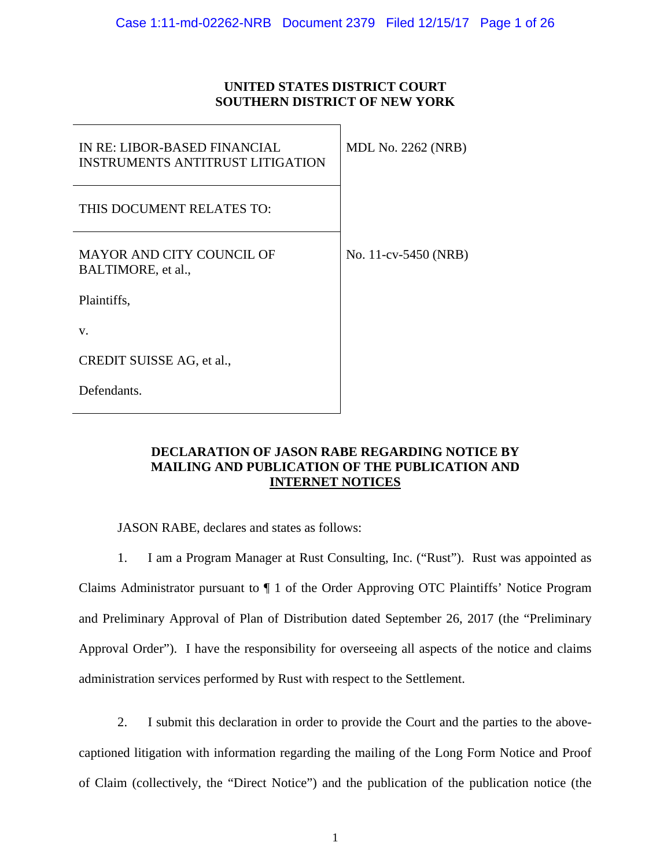### **UNITED STATES DISTRICT COURT SOUTHERN DISTRICT OF NEW YORK**

| IN RE: LIBOR-BASED FINANCIAL<br><b>INSTRUMENTS ANTITRUST LITIGATION</b> | <b>MDL No. 2262 (NRB)</b> |
|-------------------------------------------------------------------------|---------------------------|
| THIS DOCUMENT RELATES TO:                                               |                           |
| <b>MAYOR AND CITY COUNCIL OF</b><br>BALTIMORE, et al.,                  | No. 11-cv-5450 (NRB)      |
| Plaintiffs,                                                             |                           |
| V.                                                                      |                           |
| CREDIT SUISSE AG, et al.,                                               |                           |
| Defendants.                                                             |                           |

### **DECLARATION OF JASON RABE REGARDING NOTICE BY MAILING AND PUBLICATION OF THE PUBLICATION AND INTERNET NOTICES**

JASON RABE, declares and states as follows:

1. I am a Program Manager at Rust Consulting, Inc. ("Rust"). Rust was appointed as Claims Administrator pursuant to ¶ 1 of the Order Approving OTC Plaintiffs' Notice Program and Preliminary Approval of Plan of Distribution dated September 26, 2017 (the "Preliminary Approval Order"). I have the responsibility for overseeing all aspects of the notice and claims administration services performed by Rust with respect to the Settlement.

2. I submit this declaration in order to provide the Court and the parties to the abovecaptioned litigation with information regarding the mailing of the Long Form Notice and Proof of Claim (collectively, the "Direct Notice") and the publication of the publication notice (the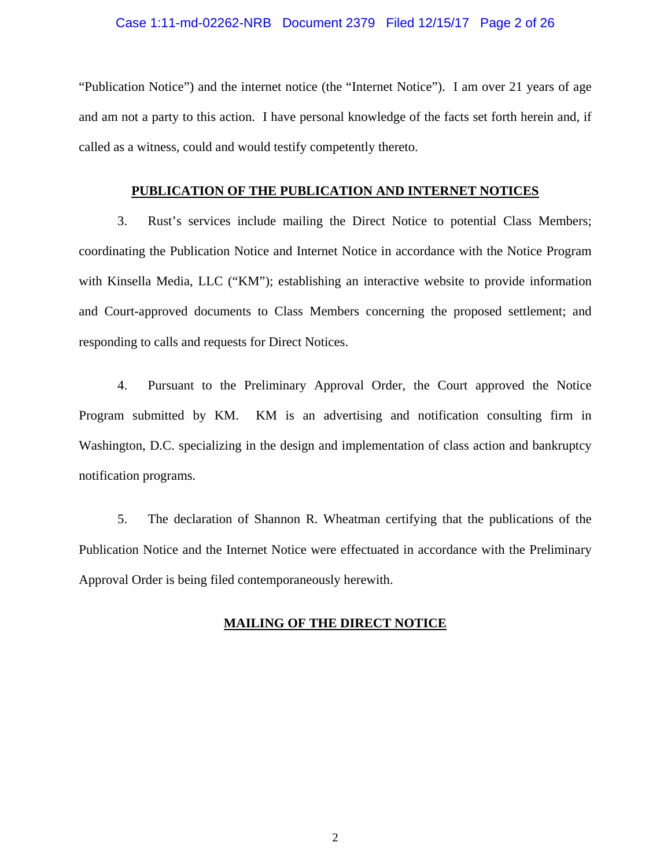### Case 1:11-md-02262-NRB Document 2379 Filed 12/15/17 Page 2 of 26

"Publication Notice") and the internet notice (the "Internet Notice"). I am over 21 years of age and am not a party to this action. I have personal knowledge of the facts set forth herein and, if called as a witness, could and would testify competently thereto.

#### **PUBLICATION OF THE PUBLICATION AND INTERNET NOTICES**

3. Rust's services include mailing the Direct Notice to potential Class Members; coordinating the Publication Notice and Internet Notice in accordance with the Notice Program with Kinsella Media, LLC ("KM"); establishing an interactive website to provide information and Court-approved documents to Class Members concerning the proposed settlement; and responding to calls and requests for Direct Notices.

4. Pursuant to the Preliminary Approval Order, the Court approved the Notice Program submitted by KM. KM is an advertising and notification consulting firm in Washington, D.C. specializing in the design and implementation of class action and bankruptcy notification programs.

5. The declaration of Shannon R. Wheatman certifying that the publications of the Publication Notice and the Internet Notice were effectuated in accordance with the Preliminary Approval Order is being filed contemporaneously herewith.

### **MAILING OF THE DIRECT NOTICE**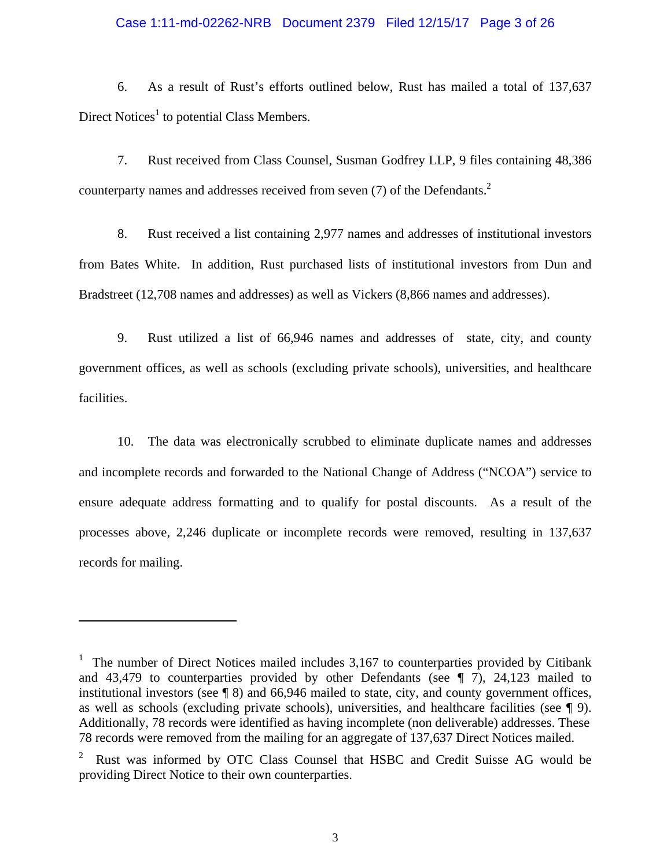#### Case 1:11-md-02262-NRB Document 2379 Filed 12/15/17 Page 3 of 26

6. As a result of Rust's efforts outlined below, Rust has mailed a total of 137,637 Direct Notices<sup>1</sup> to potential Class Members.

7. Rust received from Class Counsel, Susman Godfrey LLP, 9 files containing 48,386 counterparty names and addresses received from seven (7) of the Defendants.<sup>2</sup>

8. Rust received a list containing 2,977 names and addresses of institutional investors from Bates White. In addition, Rust purchased lists of institutional investors from Dun and Bradstreet (12,708 names and addresses) as well as Vickers (8,866 names and addresses).

9. Rust utilized a list of 66,946 names and addresses of state, city, and county government offices, as well as schools (excluding private schools), universities, and healthcare facilities.

10. The data was electronically scrubbed to eliminate duplicate names and addresses and incomplete records and forwarded to the National Change of Address ("NCOA") service to ensure adequate address formatting and to qualify for postal discounts. As a result of the processes above, 2,246 duplicate or incomplete records were removed, resulting in 137,637 records for mailing.

<sup>&</sup>lt;sup>1</sup> The number of Direct Notices mailed includes  $3,167$  to counterparties provided by Citibank and 43,479 to counterparties provided by other Defendants (see ¶ 7), 24,123 mailed to institutional investors (see ¶ 8) and 66,946 mailed to state, city, and county government offices, as well as schools (excluding private schools), universities, and healthcare facilities (see ¶ 9). Additionally, 78 records were identified as having incomplete (non deliverable) addresses. These 78 records were removed from the mailing for an aggregate of 137,637 Direct Notices mailed.

<sup>2</sup> Rust was informed by OTC Class Counsel that HSBC and Credit Suisse AG would be providing Direct Notice to their own counterparties.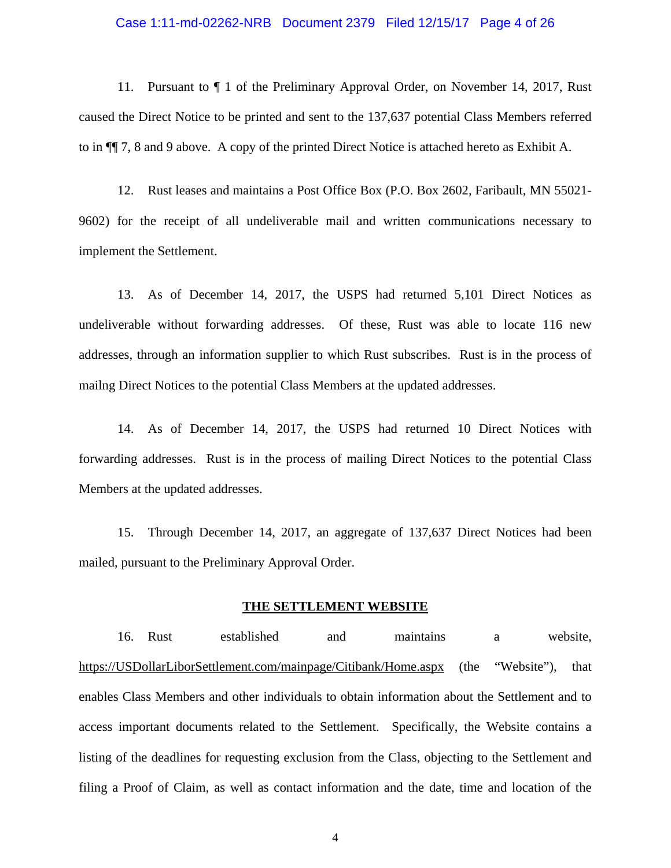#### Case 1:11-md-02262-NRB Document 2379 Filed 12/15/17 Page 4 of 26

11. Pursuant to ¶ 1 of the Preliminary Approval Order, on November 14, 2017, Rust caused the Direct Notice to be printed and sent to the 137,637 potential Class Members referred to in ¶¶ 7, 8 and 9 above. A copy of the printed Direct Notice is attached hereto as Exhibit A.

12. Rust leases and maintains a Post Office Box (P.O. Box 2602, Faribault, MN 55021- 9602) for the receipt of all undeliverable mail and written communications necessary to implement the Settlement.

13. As of December 14, 2017, the USPS had returned 5,101 Direct Notices as undeliverable without forwarding addresses. Of these, Rust was able to locate 116 new addresses, through an information supplier to which Rust subscribes. Rust is in the process of mailng Direct Notices to the potential Class Members at the updated addresses.

14. As of December 14, 2017, the USPS had returned 10 Direct Notices with forwarding addresses. Rust is in the process of mailing Direct Notices to the potential Class Members at the updated addresses.

15. Through December 14, 2017, an aggregate of 137,637 Direct Notices had been mailed, pursuant to the Preliminary Approval Order.

#### **THE SETTLEMENT WEBSITE**

16. Rust established and maintains a website, https://USDollarLiborSettlement.com/mainpage/Citibank/Home.aspx (the "Website"), that enables Class Members and other individuals to obtain information about the Settlement and to access important documents related to the Settlement. Specifically, the Website contains a listing of the deadlines for requesting exclusion from the Class, objecting to the Settlement and filing a Proof of Claim, as well as contact information and the date, time and location of the

4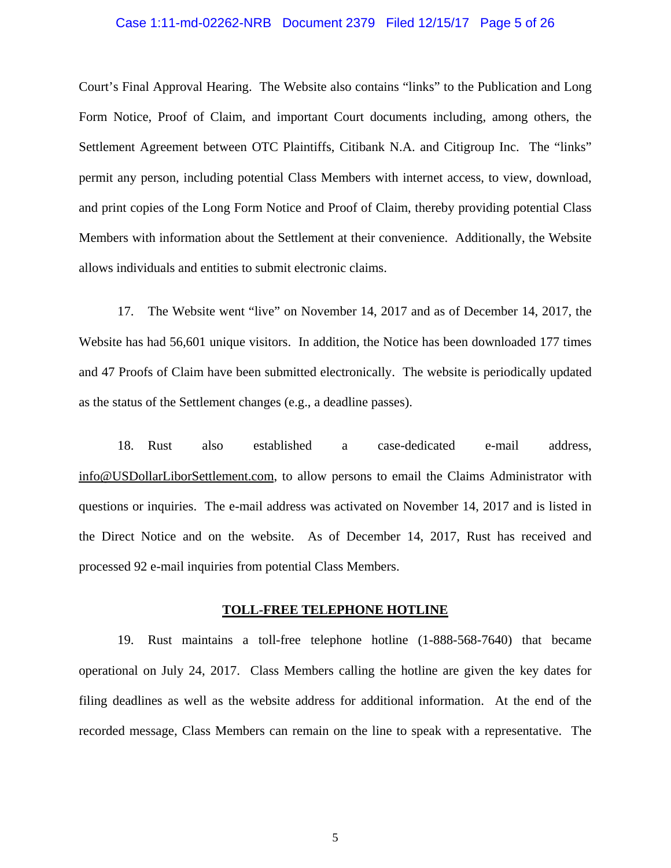#### Case 1:11-md-02262-NRB Document 2379 Filed 12/15/17 Page 5 of 26

Court's Final Approval Hearing. The Website also contains "links" to the Publication and Long Form Notice, Proof of Claim, and important Court documents including, among others, the Settlement Agreement between OTC Plaintiffs, Citibank N.A. and Citigroup Inc. The "links" permit any person, including potential Class Members with internet access, to view, download, and print copies of the Long Form Notice and Proof of Claim, thereby providing potential Class Members with information about the Settlement at their convenience. Additionally, the Website allows individuals and entities to submit electronic claims.

17. The Website went "live" on November 14, 2017 and as of December 14, 2017, the Website has had 56,601 unique visitors. In addition, the Notice has been downloaded 177 times and 47 Proofs of Claim have been submitted electronically. The website is periodically updated as the status of the Settlement changes (e.g., a deadline passes).

18. Rust also established a case-dedicated e-mail address, info@USDollarLiborSettlement.com, to allow persons to email the Claims Administrator with questions or inquiries. The e-mail address was activated on November 14, 2017 and is listed in the Direct Notice and on the website. As of December 14, 2017, Rust has received and processed 92 e-mail inquiries from potential Class Members.

#### **TOLL-FREE TELEPHONE HOTLINE**

19. Rust maintains a toll-free telephone hotline (1-888-568-7640) that became operational on July 24, 2017. Class Members calling the hotline are given the key dates for filing deadlines as well as the website address for additional information. At the end of the recorded message, Class Members can remain on the line to speak with a representative. The

5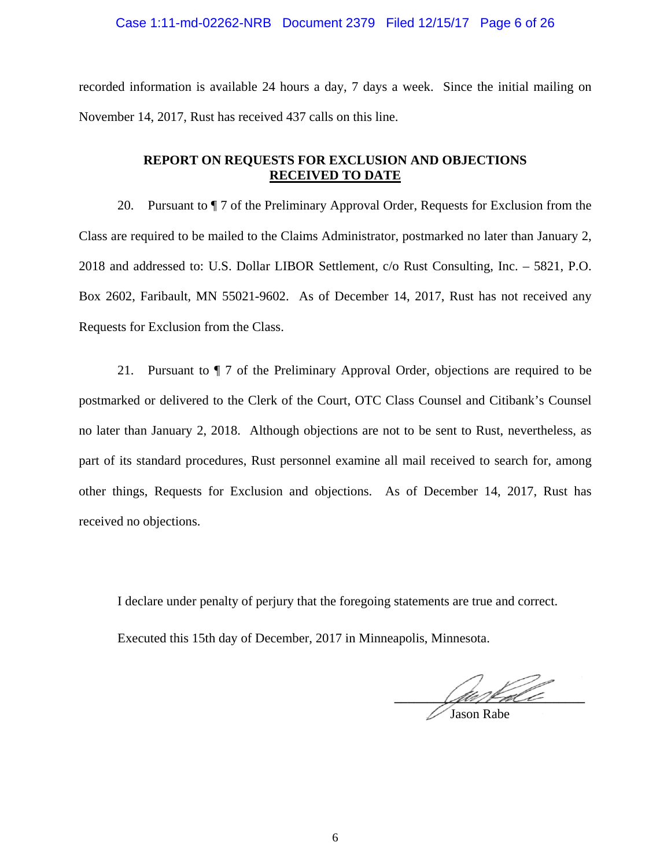#### Case 1:11-md-02262-NRB Document 2379 Filed 12/15/17 Page 6 of 26

recorded information is available 24 hours a day, 7 days a week. Since the initial mailing on November 14, 2017, Rust has received 437 calls on this line.

### **REPORT ON REQUESTS FOR EXCLUSION AND OBJECTIONS RECEIVED TO DATE**

20. Pursuant to ¶ 7 of the Preliminary Approval Order, Requests for Exclusion from the Class are required to be mailed to the Claims Administrator, postmarked no later than January 2, 2018 and addressed to: U.S. Dollar LIBOR Settlement, c/o Rust Consulting, Inc. – 5821, P.O. Box 2602, Faribault, MN 55021-9602. As of December 14, 2017, Rust has not received any Requests for Exclusion from the Class.

21. Pursuant to ¶ 7 of the Preliminary Approval Order, objections are required to be postmarked or delivered to the Clerk of the Court, OTC Class Counsel and Citibank's Counsel no later than January 2, 2018. Although objections are not to be sent to Rust, nevertheless, as part of its standard procedures, Rust personnel examine all mail received to search for, among other things, Requests for Exclusion and objections. As of December 14, 2017, Rust has received no objections.

I declare under penalty of perjury that the foregoing statements are true and correct.

Executed this 15th day of December, 2017 in Minneapolis, Minnesota.

amport of the first of the first of the first of the first of the first of the first of the first of the first of

Jason Rabe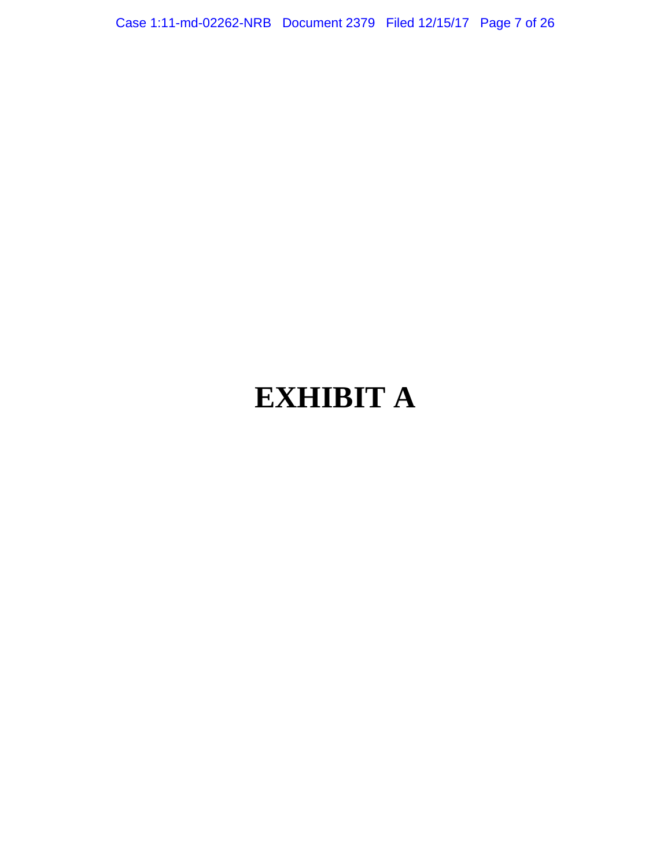Case 1:11-md-02262-NRB Document 2379 Filed 12/15/17 Page 7 of 26

# **EXHIBIT A**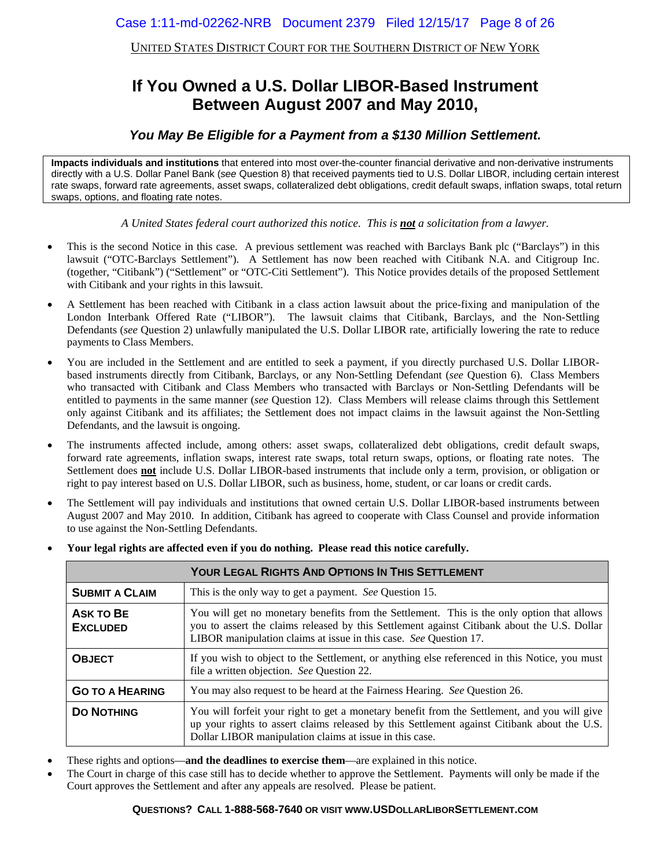UNITED STATES DISTRICT COURT FOR THE SOUTHERN DISTRICT OF NEW YORK

### **If You Owned a U.S. Dollar LIBOR-Based Instrument Between August 2007 and May 2010,**

### *You May Be Eligible for a Payment from a \$130 Million Settlement.*

**Impacts individuals and institutions** that entered into most over-the-counter financial derivative and non-derivative instruments directly with a U.S. Dollar Panel Bank (*see* Question 8) that received payments tied to U.S. Dollar LIBOR, including certain interest rate swaps, forward rate agreements, asset swaps, collateralized debt obligations, credit default swaps, inflation swaps, total return swaps, options, and floating rate notes.

*A United States federal court authorized this notice. This is not a solicitation from a lawyer.* 

- This is the second Notice in this case. A previous settlement was reached with Barclays Bank plc ("Barclays") in this lawsuit ("OTC-Barclays Settlement"). A Settlement has now been reached with Citibank N.A. and Citigroup Inc. (together, "Citibank") ("Settlement" or "OTC-Citi Settlement"). This Notice provides details of the proposed Settlement with Citibank and your rights in this lawsuit.
- A Settlement has been reached with Citibank in a class action lawsuit about the price-fixing and manipulation of the London Interbank Offered Rate ("LIBOR"). The lawsuit claims that Citibank, Barclays, and the Non-Settling Defendants (*see* Question 2) unlawfully manipulated the U.S. Dollar LIBOR rate, artificially lowering the rate to reduce payments to Class Members.
- You are included in the Settlement and are entitled to seek a payment, if you directly purchased U.S. Dollar LIBORbased instruments directly from Citibank, Barclays, or any Non-Settling Defendant (*see* Question 6). Class Members who transacted with Citibank and Class Members who transacted with Barclays or Non-Settling Defendants will be entitled to payments in the same manner (*see* Question 12). Class Members will release claims through this Settlement only against Citibank and its affiliates; the Settlement does not impact claims in the lawsuit against the Non-Settling Defendants, and the lawsuit is ongoing.
- The instruments affected include, among others: asset swaps, collateralized debt obligations, credit default swaps, forward rate agreements, inflation swaps, interest rate swaps, total return swaps, options, or floating rate notes. The Settlement does **not** include U.S. Dollar LIBOR-based instruments that include only a term, provision, or obligation or right to pay interest based on U.S. Dollar LIBOR, such as business, home, student, or car loans or credit cards.
- The Settlement will pay individuals and institutions that owned certain U.S. Dollar LIBOR-based instruments between August 2007 and May 2010. In addition, Citibank has agreed to cooperate with Class Counsel and provide information to use against the Non-Settling Defendants.

|                                     | <b>YOUR LEGAL RIGHTS AND OPTIONS IN THIS SETTLEMENT</b>                                                                                                                                                                                                        |
|-------------------------------------|----------------------------------------------------------------------------------------------------------------------------------------------------------------------------------------------------------------------------------------------------------------|
| <b>SUBMIT A CLAIM</b>               | This is the only way to get a payment. See Question 15.                                                                                                                                                                                                        |
| <b>ASK TO BE</b><br><b>EXCLUDED</b> | You will get no monetary benefits from the Settlement. This is the only option that allows<br>you to assert the claims released by this Settlement against Citibank about the U.S. Dollar<br>LIBOR manipulation claims at issue in this case. See Question 17. |
| <b>OBJECT</b>                       | If you wish to object to the Settlement, or anything else referenced in this Notice, you must<br>file a written objection. See Question 22.                                                                                                                    |
| <b>GO TO A HEARING</b>              | You may also request to be heard at the Fairness Hearing. See Question 26.                                                                                                                                                                                     |
| <b>DO NOTHING</b>                   | You will forfeit your right to get a monetary benefit from the Settlement, and you will give<br>up your rights to assert claims released by this Settlement against Citibank about the U.S.<br>Dollar LIBOR manipulation claims at issue in this case.         |

**Your legal rights are affected even if you do nothing. Please read this notice carefully.**

- These rights and options—**and the deadlines to exercise them**—are explained in this notice.
- The Court in charge of this case still has to decide whether to approve the Settlement. Payments will only be made if the Court approves the Settlement and after any appeals are resolved. Please be patient.

#### **QUESTIONS? CALL 1-888-568-7640 OR VISIT WWW.USDOLLARLIBORSETTLEMENT.COM**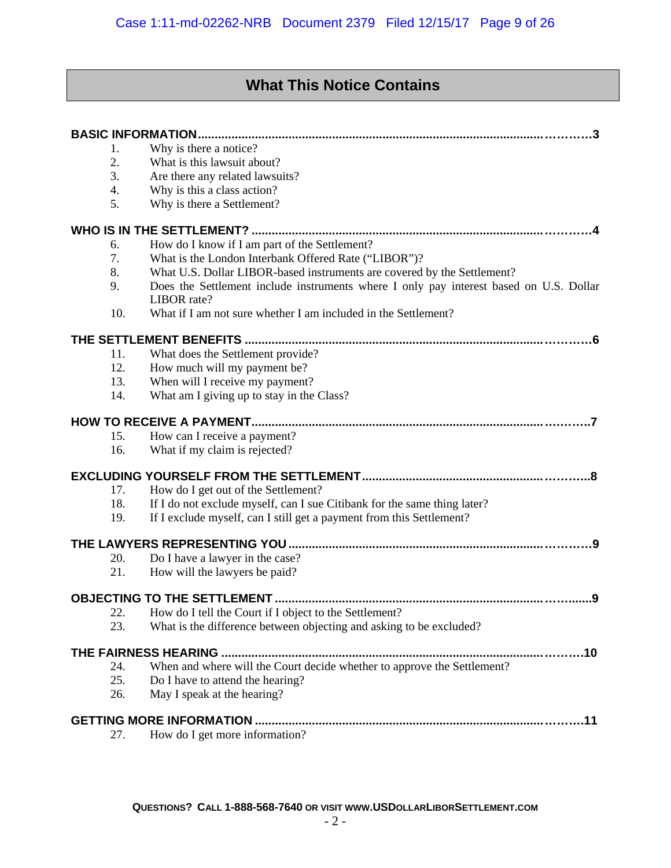### **What This Notice Contains**

| 1.  | Why is there a notice?                                                                                |
|-----|-------------------------------------------------------------------------------------------------------|
| 2.  | What is this lawsuit about?                                                                           |
| 3.  | Are there any related lawsuits?                                                                       |
| 4.  | Why is this a class action?                                                                           |
| 5.  | Why is there a Settlement?                                                                            |
|     |                                                                                                       |
| 6.  | How do I know if I am part of the Settlement?                                                         |
| 7.  | What is the London Interbank Offered Rate ("LIBOR")?                                                  |
| 8.  | What U.S. Dollar LIBOR-based instruments are covered by the Settlement?                               |
| 9.  | Does the Settlement include instruments where I only pay interest based on U.S. Dollar<br>LIBOR rate? |
| 10. | What if I am not sure whether I am included in the Settlement?                                        |
|     |                                                                                                       |
| 11. | What does the Settlement provide?                                                                     |
| 12. | How much will my payment be?                                                                          |
| 13. | When will I receive my payment?                                                                       |
| 14. | What am I giving up to stay in the Class?                                                             |
|     |                                                                                                       |
| 15. | How can I receive a payment?                                                                          |
| 16. | What if my claim is rejected?                                                                         |
|     | . .8                                                                                                  |
| 17. | How do I get out of the Settlement?                                                                   |
| 18. | If I do not exclude myself, can I sue Citibank for the same thing later?                              |
| 19. | If I exclude myself, can I still get a payment from this Settlement?                                  |
|     |                                                                                                       |
| 20. | Do I have a lawyer in the case?                                                                       |
| 21. | How will the lawyers be paid?                                                                         |
|     |                                                                                                       |
| 22. | How do I tell the Court if I object to the Settlement?                                                |
| 23. | What is the difference between objecting and asking to be excluded?                                   |
|     |                                                                                                       |
| 24. | When and where will the Court decide whether to approve the Settlement?                               |
| 25. | Do I have to attend the hearing?                                                                      |
| 26. | May I speak at the hearing?                                                                           |
|     | .11                                                                                                   |
| 27. | How do I get more information?                                                                        |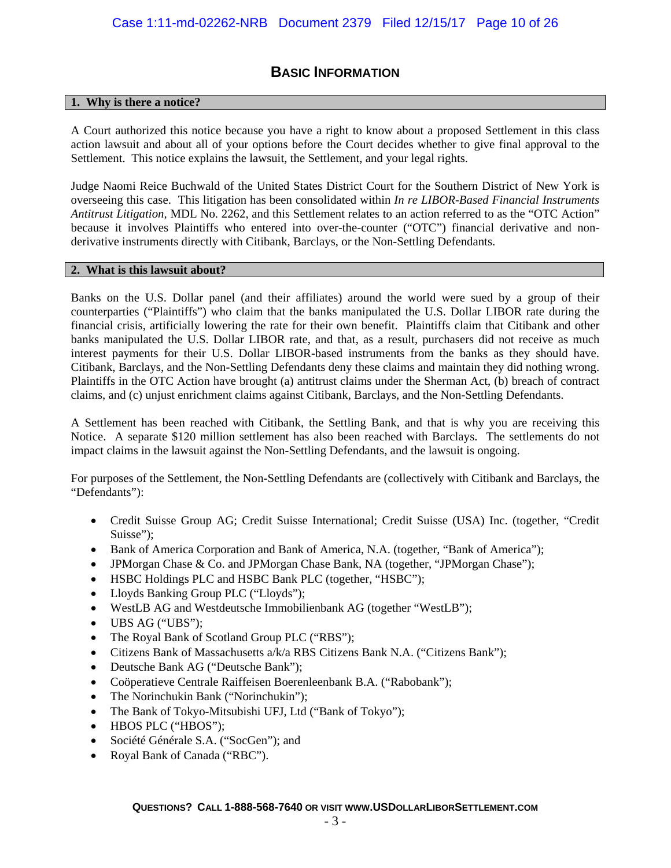### **BASIC INFORMATION**

### **1. Why is there a notice?**

A Court authorized this notice because you have a right to know about a proposed Settlement in this class action lawsuit and about all of your options before the Court decides whether to give final approval to the Settlement. This notice explains the lawsuit, the Settlement, and your legal rights.

Judge Naomi Reice Buchwald of the United States District Court for the Southern District of New York is overseeing this case. This litigation has been consolidated within *In re LIBOR-Based Financial Instruments Antitrust Litigation,* MDL No. 2262, and this Settlement relates to an action referred to as the "OTC Action" because it involves Plaintiffs who entered into over-the-counter ("OTC") financial derivative and nonderivative instruments directly with Citibank, Barclays, or the Non-Settling Defendants.

#### **2. What is this lawsuit about?**

Banks on the U.S. Dollar panel (and their affiliates) around the world were sued by a group of their counterparties ("Plaintiffs") who claim that the banks manipulated the U.S. Dollar LIBOR rate during the financial crisis, artificially lowering the rate for their own benefit. Plaintiffs claim that Citibank and other banks manipulated the U.S. Dollar LIBOR rate, and that, as a result, purchasers did not receive as much interest payments for their U.S. Dollar LIBOR-based instruments from the banks as they should have. Citibank, Barclays, and the Non-Settling Defendants deny these claims and maintain they did nothing wrong. Plaintiffs in the OTC Action have brought (a) antitrust claims under the Sherman Act, (b) breach of contract claims, and (c) unjust enrichment claims against Citibank, Barclays, and the Non-Settling Defendants.

A Settlement has been reached with Citibank, the Settling Bank, and that is why you are receiving this Notice. A separate \$120 million settlement has also been reached with Barclays. The settlements do not impact claims in the lawsuit against the Non-Settling Defendants, and the lawsuit is ongoing.

For purposes of the Settlement, the Non-Settling Defendants are (collectively with Citibank and Barclays, the "Defendants"):

- Credit Suisse Group AG; Credit Suisse International; Credit Suisse (USA) Inc. (together, "Credit Suisse");
- Bank of America Corporation and Bank of America, N.A. (together, "Bank of America");
- JPMorgan Chase & Co. and JPMorgan Chase Bank, NA (together, "JPMorgan Chase");
- HSBC Holdings PLC and HSBC Bank PLC (together, "HSBC");
- Lloyds Banking Group PLC ("Lloyds");
- WestLB AG and Westdeutsche Immobilienbank AG (together "WestLB");
- UBS AG ("UBS");
- The Royal Bank of Scotland Group PLC ("RBS");
- Citizens Bank of Massachusetts a/k/a RBS Citizens Bank N.A. ("Citizens Bank");
- Deutsche Bank AG ("Deutsche Bank");
- Coöperatieve Centrale Raiffeisen Boerenleenbank B.A. ("Rabobank");
- The Norinchukin Bank ("Norinchukin");
- The Bank of Tokyo-Mitsubishi UFJ, Ltd ("Bank of Tokyo");
- HBOS PLC ("HBOS");
- Société Générale S.A. ("SocGen"); and
- Royal Bank of Canada ("RBC").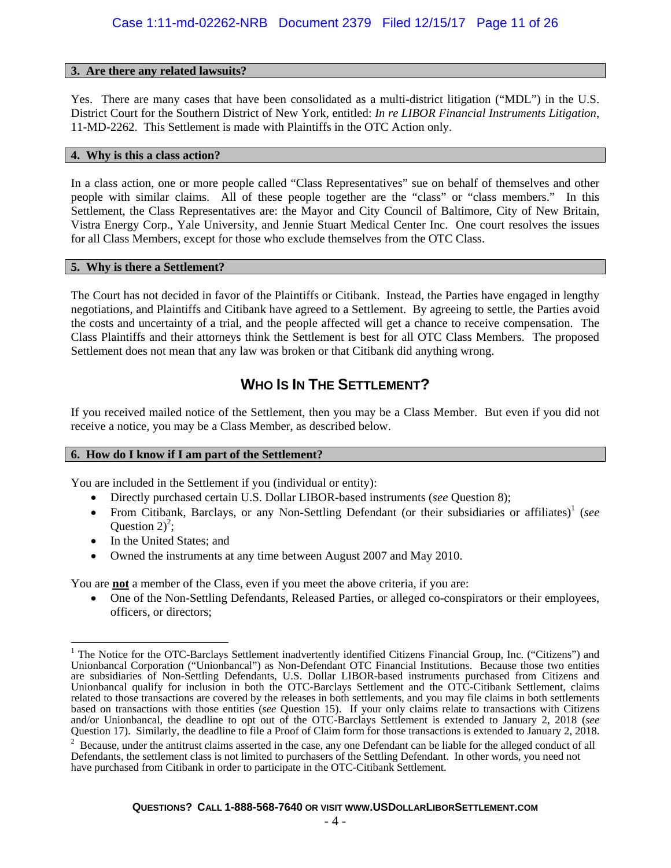#### **3. Are there any related lawsuits?**

Yes. There are many cases that have been consolidated as a multi-district litigation ("MDL") in the U.S. District Court for the Southern District of New York, entitled: *In re LIBOR Financial Instruments Litigation*, 11-MD-2262. This Settlement is made with Plaintiffs in the OTC Action only.

#### **4. Why is this a class action?**

In a class action, one or more people called "Class Representatives" sue on behalf of themselves and other people with similar claims. All of these people together are the "class" or "class members." In this Settlement, the Class Representatives are: the Mayor and City Council of Baltimore, City of New Britain, Vistra Energy Corp., Yale University, and Jennie Stuart Medical Center Inc. One court resolves the issues for all Class Members, except for those who exclude themselves from the OTC Class.

### **5. Why is there a Settlement?**

The Court has not decided in favor of the Plaintiffs or Citibank. Instead, the Parties have engaged in lengthy negotiations, and Plaintiffs and Citibank have agreed to a Settlement. By agreeing to settle, the Parties avoid the costs and uncertainty of a trial, and the people affected will get a chance to receive compensation. The Class Plaintiffs and their attorneys think the Settlement is best for all OTC Class Members. The proposed Settlement does not mean that any law was broken or that Citibank did anything wrong.

### **WHO IS IN THE SETTLEMENT?**

If you received mailed notice of the Settlement, then you may be a Class Member. But even if you did not receive a notice, you may be a Class Member, as described below.

### **6. How do I know if I am part of the Settlement?**

You are included in the Settlement if you (individual or entity):

- Directly purchased certain U.S. Dollar LIBOR-based instruments (*see* Question 8);
- From Citibank, Barclays, or any Non-Settling Defendant (or their subsidiaries or affiliates)<sup>1</sup> (see Question  $2)^2$ ;
- In the United States; and
- Owned the instruments at any time between August 2007 and May 2010.

You are **not** a member of the Class, even if you meet the above criteria, if you are:

 One of the Non-Settling Defendants, Released Parties, or alleged co-conspirators or their employees, officers, or directors;

 $\mathbf{r}$ <sup>1</sup> The Notice for the OTC-Barclays Settlement inadvertently identified Citizens Financial Group, Inc. ("Citizens") and Unionbancal Corporation ("Unionbancal") as Non-Defendant OTC Financial Institutions. Because those two entities are subsidiaries of Non-Settling Defendants, U.S. Dollar LIBOR-based instruments purchased from Citizens and Unionbancal qualify for inclusion in both the OTC-Barclays Settlement and the OTC-Citibank Settlement, claims related to those transactions are covered by the releases in both settlements, and you may file claims in both settlements based on transactions with those entities (*see* Question 15). If your only claims relate to transactions with Citizens and/or Unionbancal, the deadline to opt out of the OTC-Barclays Settlement is extended to January 2, 2018 (*see* Question 17). Similarly, the deadline to file a Proof of Claim form for those transactions is extended to January 2, 2018. 2

 $2$  Because, under the antitrust claims asserted in the case, any one Defendant can be liable for the alleged conduct of all Defendants, the settlement class is not limited to purchasers of the Settling Defendant. In other words, you need not have purchased from Citibank in order to participate in the OTC-Citibank Settlement.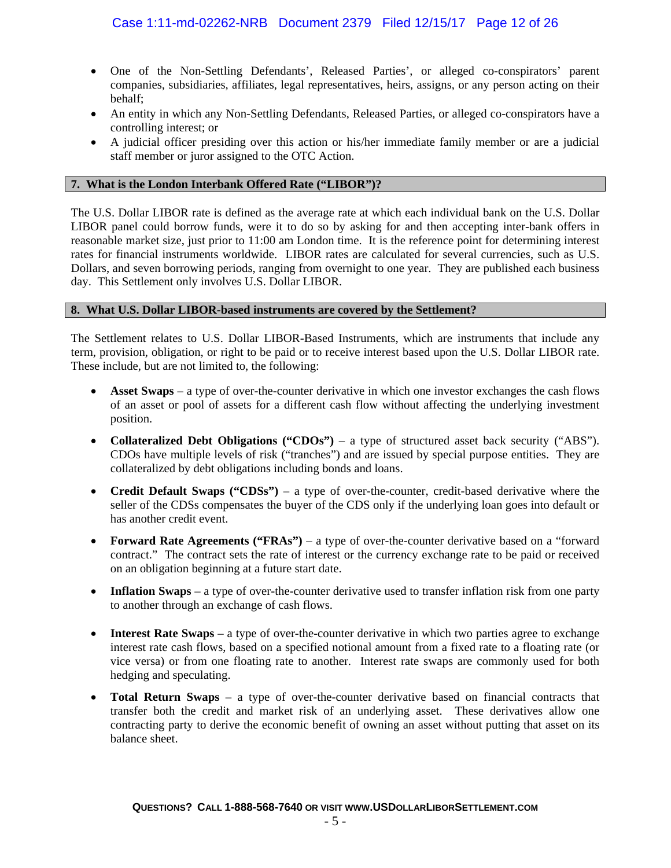- One of the Non-Settling Defendants', Released Parties', or alleged co-conspirators' parent companies, subsidiaries, affiliates, legal representatives, heirs, assigns, or any person acting on their behalf;
- An entity in which any Non-Settling Defendants, Released Parties, or alleged co-conspirators have a controlling interest; or
- A judicial officer presiding over this action or his/her immediate family member or are a judicial staff member or juror assigned to the OTC Action.

### **7. What is the London Interbank Offered Rate ("LIBOR")?**

The U.S. Dollar LIBOR rate is defined as the average rate at which each individual bank on the U.S. Dollar LIBOR panel could borrow funds, were it to do so by asking for and then accepting inter-bank offers in reasonable market size, just prior to 11:00 am London time. It is the reference point for determining interest rates for financial instruments worldwide. LIBOR rates are calculated for several currencies, such as U.S. Dollars, and seven borrowing periods, ranging from overnight to one year. They are published each business day. This Settlement only involves U.S. Dollar LIBOR.

#### **8. What U.S. Dollar LIBOR-based instruments are covered by the Settlement?**

The Settlement relates to U.S. Dollar LIBOR-Based Instruments, which are instruments that include any term, provision, obligation, or right to be paid or to receive interest based upon the U.S. Dollar LIBOR rate. These include, but are not limited to, the following:

- **Asset Swaps** a type of over-the-counter derivative in which one investor exchanges the cash flows of an asset or pool of assets for a different cash flow without affecting the underlying investment position.
- **Collateralized Debt Obligations ("CDOs")** a type of structured asset back security ("ABS"). CDOs have multiple levels of risk ("tranches") and are issued by special purpose entities. They are collateralized by debt obligations including bonds and loans.
- **Credit Default Swaps ("CDSs")** a type of over-the-counter, credit-based derivative where the seller of the CDSs compensates the buyer of the CDS only if the underlying loan goes into default or has another credit event.
- **Forward Rate Agreements ("FRAs")** a type of over-the-counter derivative based on a "forward contract." The contract sets the rate of interest or the currency exchange rate to be paid or received on an obligation beginning at a future start date.
- Inflation Swaps a type of over-the-counter derivative used to transfer inflation risk from one party to another through an exchange of cash flows.
- **Interest Rate Swaps** a type of over-the-counter derivative in which two parties agree to exchange interest rate cash flows, based on a specified notional amount from a fixed rate to a floating rate (or vice versa) or from one floating rate to another. Interest rate swaps are commonly used for both hedging and speculating.
- **Total Return Swaps** a type of over-the-counter derivative based on financial contracts that transfer both the credit and market risk of an underlying asset. These derivatives allow one contracting party to derive the economic benefit of owning an asset without putting that asset on its balance sheet.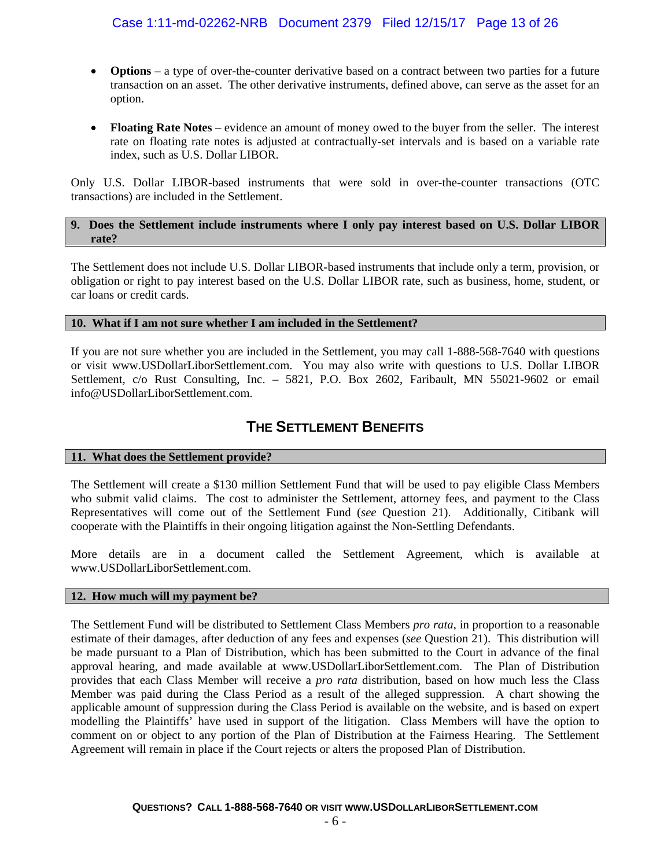### Case 1:11-md-02262-NRB Document 2379 Filed 12/15/17 Page 13 of 26

- **Options** a type of over-the-counter derivative based on a contract between two parties for a future transaction on an asset. The other derivative instruments, defined above, can serve as the asset for an option.
- **Floating Rate Notes** evidence an amount of money owed to the buyer from the seller. The interest rate on floating rate notes is adjusted at contractually-set intervals and is based on a variable rate index, such as U.S. Dollar LIBOR.

Only U.S. Dollar LIBOR-based instruments that were sold in over-the-counter transactions (OTC transactions) are included in the Settlement.

#### **9. Does the Settlement include instruments where I only pay interest based on U.S. Dollar LIBOR rate?**

The Settlement does not include U.S. Dollar LIBOR-based instruments that include only a term, provision, or obligation or right to pay interest based on the U.S. Dollar LIBOR rate, such as business, home, student, or car loans or credit cards.

#### **10. What if I am not sure whether I am included in the Settlement?**

If you are not sure whether you are included in the Settlement, you may call 1-888-568-7640 with questions or visit www.USDollarLiborSettlement.com. You may also write with questions to U.S. Dollar LIBOR Settlement, c/o Rust Consulting, Inc. – 5821, P.O. Box 2602, Faribault, MN 55021-9602 or email info@USDollarLiborSettlement.com.

### **THE SETTLEMENT BENEFITS**

### **11. What does the Settlement provide?**

The Settlement will create a \$130 million Settlement Fund that will be used to pay eligible Class Members who submit valid claims. The cost to administer the Settlement, attorney fees, and payment to the Class Representatives will come out of the Settlement Fund (*see* Question 21). Additionally, Citibank will cooperate with the Plaintiffs in their ongoing litigation against the Non-Settling Defendants.

More details are in a document called the Settlement Agreement, which is available at www.USDollarLiborSettlement.com.

#### **12. How much will my payment be?**

The Settlement Fund will be distributed to Settlement Class Members *pro rata*, in proportion to a reasonable estimate of their damages, after deduction of any fees and expenses (*see* Question 21). This distribution will be made pursuant to a Plan of Distribution, which has been submitted to the Court in advance of the final approval hearing, and made available at www.USDollarLiborSettlement.com. The Plan of Distribution provides that each Class Member will receive a *pro rata* distribution, based on how much less the Class Member was paid during the Class Period as a result of the alleged suppression. A chart showing the applicable amount of suppression during the Class Period is available on the website, and is based on expert modelling the Plaintiffs' have used in support of the litigation. Class Members will have the option to comment on or object to any portion of the Plan of Distribution at the Fairness Hearing. The Settlement Agreement will remain in place if the Court rejects or alters the proposed Plan of Distribution.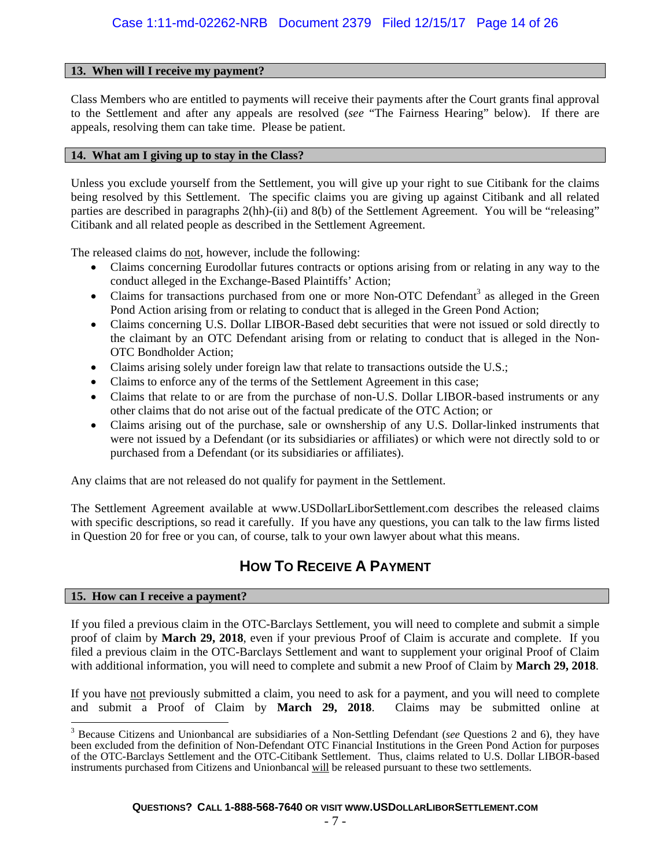### **13. When will I receive my payment?**

Class Members who are entitled to payments will receive their payments after the Court grants final approval to the Settlement and after any appeals are resolved (*see* "The Fairness Hearing" below). If there are appeals, resolving them can take time. Please be patient.

#### **14. What am I giving up to stay in the Class?**

Unless you exclude yourself from the Settlement, you will give up your right to sue Citibank for the claims being resolved by this Settlement. The specific claims you are giving up against Citibank and all related parties are described in paragraphs 2(hh)-(ii) and 8(b) of the Settlement Agreement. You will be "releasing" Citibank and all related people as described in the Settlement Agreement.

The released claims do not, however, include the following:

- Claims concerning Eurodollar futures contracts or options arising from or relating in any way to the conduct alleged in the Exchange-Based Plaintiffs' Action;
- Claims for transactions purchased from one or more Non-OTC Defendant<sup>3</sup> as alleged in the Green Pond Action arising from or relating to conduct that is alleged in the Green Pond Action;
- Claims concerning U.S. Dollar LIBOR-Based debt securities that were not issued or sold directly to the claimant by an OTC Defendant arising from or relating to conduct that is alleged in the Non-OTC Bondholder Action;
- Claims arising solely under foreign law that relate to transactions outside the U.S.;
- Claims to enforce any of the terms of the Settlement Agreement in this case;
- Claims that relate to or are from the purchase of non-U.S. Dollar LIBOR-based instruments or any other claims that do not arise out of the factual predicate of the OTC Action; or
- Claims arising out of the purchase, sale or ownshership of any U.S. Dollar-linked instruments that were not issued by a Defendant (or its subsidiaries or affiliates) or which were not directly sold to or purchased from a Defendant (or its subsidiaries or affiliates).

Any claims that are not released do not qualify for payment in the Settlement.

The Settlement Agreement available at www.USDollarLiborSettlement.com describes the released claims with specific descriptions, so read it carefully. If you have any questions, you can talk to the law firms listed in Question 20 for free or you can, of course, talk to your own lawyer about what this means.

### **HOW TO RECEIVE A PAYMENT**

### **15. How can I receive a payment?**

If you filed a previous claim in the OTC-Barclays Settlement, you will need to complete and submit a simple proof of claim by **March 29, 2018**, even if your previous Proof of Claim is accurate and complete. If you filed a previous claim in the OTC-Barclays Settlement and want to supplement your original Proof of Claim with additional information, you will need to complete and submit a new Proof of Claim by **March 29, 2018**.

If you have not previously submitted a claim, you need to ask for a payment, and you will need to complete and submit a Proof of Claim by **March 29, 2018**. Claims may be submitted online at

<sup>&</sup>lt;sup>3</sup> Because Citizens and Unionbancal are subsidiaries of a Non-Settling Defendant (*see* Questions 2 and 6), they have been excluded from the definition of Non-Defendant OTC Financial Institutions in the Green Pond Action for purposes of the OTC-Barclays Settlement and the OTC-Citibank Settlement. Thus, claims related to U.S. Dollar LIBOR-based instruments purchased from Citizens and Unionbancal will be released pursuant to these two settlements.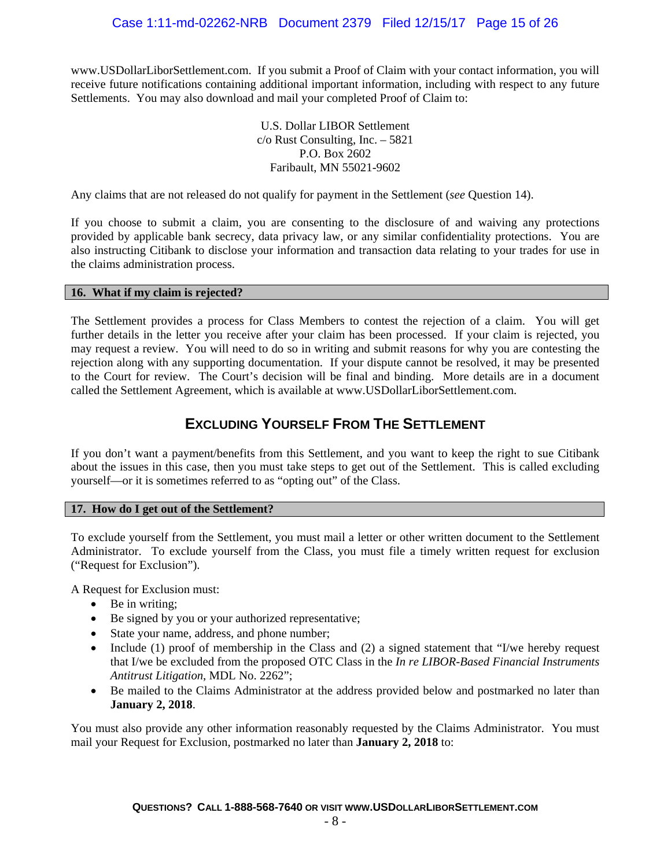www.USDollarLiborSettlement.com. If you submit a Proof of Claim with your contact information, you will receive future notifications containing additional important information, including with respect to any future Settlements. You may also download and mail your completed Proof of Claim to:

> U.S. Dollar LIBOR Settlement c/o Rust Consulting, Inc. – 5821 P.O. Box 2602 Faribault, MN 55021-9602

Any claims that are not released do not qualify for payment in the Settlement (*see* Question 14).

If you choose to submit a claim, you are consenting to the disclosure of and waiving any protections provided by applicable bank secrecy, data privacy law, or any similar confidentiality protections. You are also instructing Citibank to disclose your information and transaction data relating to your trades for use in the claims administration process.

### **16. What if my claim is rejected?**

The Settlement provides a process for Class Members to contest the rejection of a claim. You will get further details in the letter you receive after your claim has been processed. If your claim is rejected, you may request a review. You will need to do so in writing and submit reasons for why you are contesting the rejection along with any supporting documentation. If your dispute cannot be resolved, it may be presented to the Court for review. The Court's decision will be final and binding. More details are in a document called the Settlement Agreement, which is available at www.USDollarLiborSettlement.com.

### **EXCLUDING YOURSELF FROM THE SETTLEMENT**

If you don't want a payment/benefits from this Settlement, and you want to keep the right to sue Citibank about the issues in this case, then you must take steps to get out of the Settlement. This is called excluding yourself—or it is sometimes referred to as "opting out" of the Class.

### **17. How do I get out of the Settlement?**

To exclude yourself from the Settlement, you must mail a letter or other written document to the Settlement Administrator. To exclude yourself from the Class, you must file a timely written request for exclusion ("Request for Exclusion").

A Request for Exclusion must:

- Be in writing;
- Be signed by you or your authorized representative;
- State your name, address, and phone number;
- Include (1) proof of membership in the Class and (2) a signed statement that "I/we hereby request that I/we be excluded from the proposed OTC Class in the *In re LIBOR-Based Financial Instruments Antitrust Litigation*, MDL No. 2262";
- Be mailed to the Claims Administrator at the address provided below and postmarked no later than **January 2, 2018**.

You must also provide any other information reasonably requested by the Claims Administrator. You must mail your Request for Exclusion, postmarked no later than **January 2, 2018** to: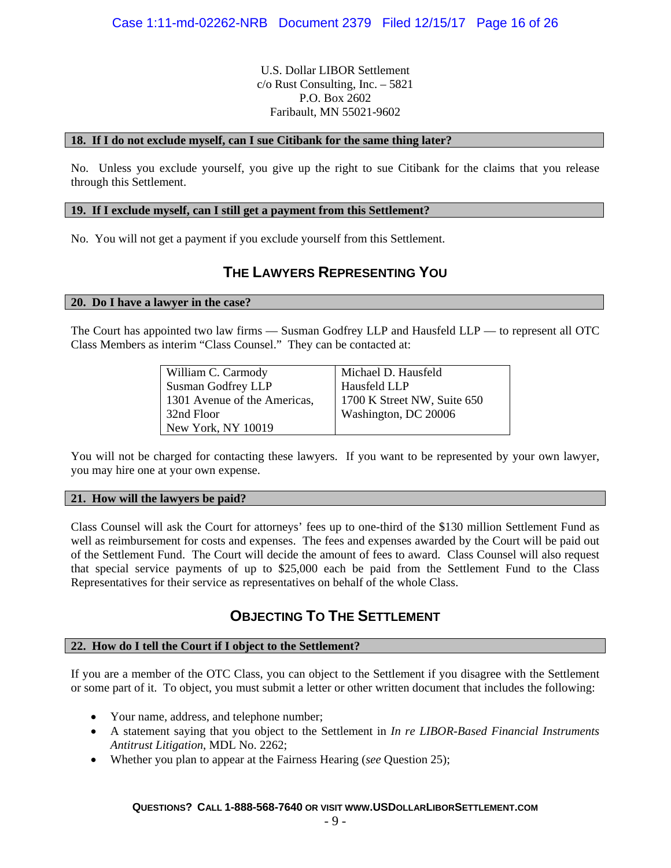U.S. Dollar LIBOR Settlement c/o Rust Consulting, Inc. – 5821 P.O. Box 2602 Faribault, MN 55021-9602

### **18. If I do not exclude myself, can I sue Citibank for the same thing later?**

No. Unless you exclude yourself, you give up the right to sue Citibank for the claims that you release through this Settlement.

### **19. If I exclude myself, can I still get a payment from this Settlement?**

No. You will not get a payment if you exclude yourself from this Settlement.

### **THE LAWYERS REPRESENTING YOU**

#### **20. Do I have a lawyer in the case?**

The Court has appointed two law firms — Susman Godfrey LLP and Hausfeld LLP — to represent all OTC Class Members as interim "Class Counsel." They can be contacted at:

| William C. Carmody           | Michael D. Hausfeld         |
|------------------------------|-----------------------------|
| Susman Godfrey LLP           | Hausfeld LLP                |
| 1301 Avenue of the Americas, | 1700 K Street NW, Suite 650 |
| 32nd Floor                   | Washington, DC 20006        |
| New York, NY 10019           |                             |

You will not be charged for contacting these lawyers. If you want to be represented by your own lawyer, you may hire one at your own expense.

#### **21. How will the lawyers be paid?**

Class Counsel will ask the Court for attorneys' fees up to one-third of the \$130 million Settlement Fund as well as reimbursement for costs and expenses. The fees and expenses awarded by the Court will be paid out of the Settlement Fund. The Court will decide the amount of fees to award. Class Counsel will also request that special service payments of up to \$25,000 each be paid from the Settlement Fund to the Class Representatives for their service as representatives on behalf of the whole Class.

### **OBJECTING TO THE SETTLEMENT**

### **22. How do I tell the Court if I object to the Settlement?**

If you are a member of the OTC Class, you can object to the Settlement if you disagree with the Settlement or some part of it. To object, you must submit a letter or other written document that includes the following:

- Your name, address, and telephone number;
- A statement saying that you object to the Settlement in *In re LIBOR-Based Financial Instruments Antitrust Litigation*, MDL No. 2262;
- Whether you plan to appear at the Fairness Hearing (*see* Question 25);

### **QUESTIONS? CALL 1-888-568-7640 OR VISIT WWW.USDOLLARLIBORSETTLEMENT.COM**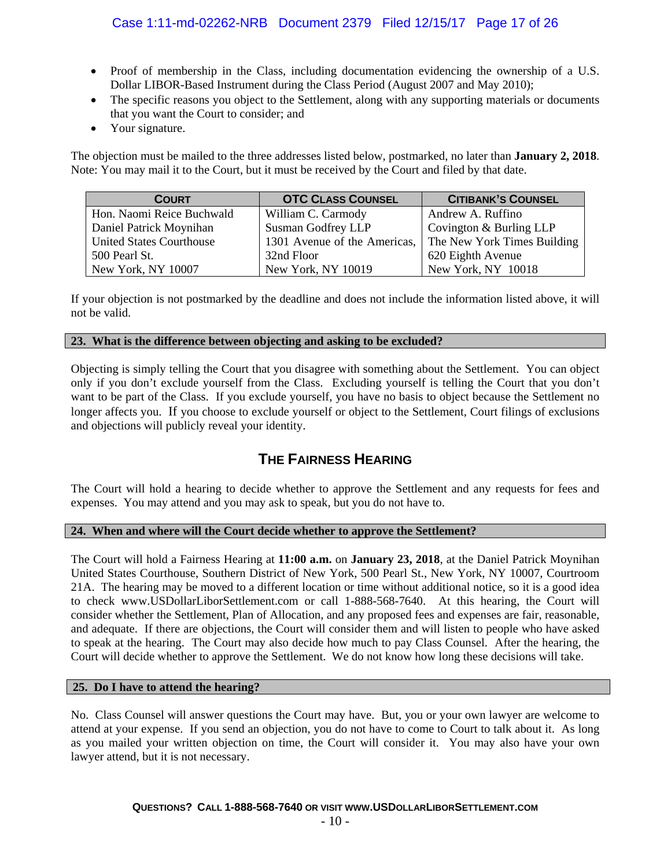- Proof of membership in the Class, including documentation evidencing the ownership of a U.S. Dollar LIBOR-Based Instrument during the Class Period (August 2007 and May 2010);
- The specific reasons you object to the Settlement, along with any supporting materials or documents that you want the Court to consider; and
- Your signature.

The objection must be mailed to the three addresses listed below, postmarked, no later than **January 2, 2018**. Note: You may mail it to the Court, but it must be received by the Court and filed by that date.

| <b>COURT</b>                    | <b>OTC CLASS COUNSEL</b>  | <b>CITIBANK'S COUNSEL</b>                                |
|---------------------------------|---------------------------|----------------------------------------------------------|
| Hon. Naomi Reice Buchwald       | William C. Carmody        | Andrew A. Ruffino                                        |
| Daniel Patrick Moynihan         | <b>Susman Godfrey LLP</b> | Covington & Burling LLP                                  |
| <b>United States Courthouse</b> |                           | 1301 Avenue of the Americas, The New York Times Building |
| 500 Pearl St.                   | 32nd Floor                | 620 Eighth Avenue                                        |
| New York, NY 10007              | New York, NY 10019        | New York, NY 10018                                       |

If your objection is not postmarked by the deadline and does not include the information listed above, it will not be valid.

### **23. What is the difference between objecting and asking to be excluded?**

Objecting is simply telling the Court that you disagree with something about the Settlement. You can object only if you don't exclude yourself from the Class. Excluding yourself is telling the Court that you don't want to be part of the Class. If you exclude yourself, you have no basis to object because the Settlement no longer affects you. If you choose to exclude yourself or object to the Settlement, Court filings of exclusions and objections will publicly reveal your identity.

### **THE FAIRNESS HEARING**

The Court will hold a hearing to decide whether to approve the Settlement and any requests for fees and expenses. You may attend and you may ask to speak, but you do not have to.

### **24. When and where will the Court decide whether to approve the Settlement?**

The Court will hold a Fairness Hearing at **11:00 a.m.** on **January 23, 2018**, at the Daniel Patrick Moynihan United States Courthouse, Southern District of New York, 500 Pearl St., New York, NY 10007, Courtroom 21A. The hearing may be moved to a different location or time without additional notice, so it is a good idea to check www.USDollarLiborSettlement.com or call 1-888-568-7640. At this hearing, the Court will consider whether the Settlement, Plan of Allocation, and any proposed fees and expenses are fair, reasonable, and adequate. If there are objections, the Court will consider them and will listen to people who have asked to speak at the hearing. The Court may also decide how much to pay Class Counsel. After the hearing, the Court will decide whether to approve the Settlement. We do not know how long these decisions will take.

### **25. Do I have to attend the hearing?**

No. Class Counsel will answer questions the Court may have. But, you or your own lawyer are welcome to attend at your expense. If you send an objection, you do not have to come to Court to talk about it. As long as you mailed your written objection on time, the Court will consider it. You may also have your own lawyer attend, but it is not necessary.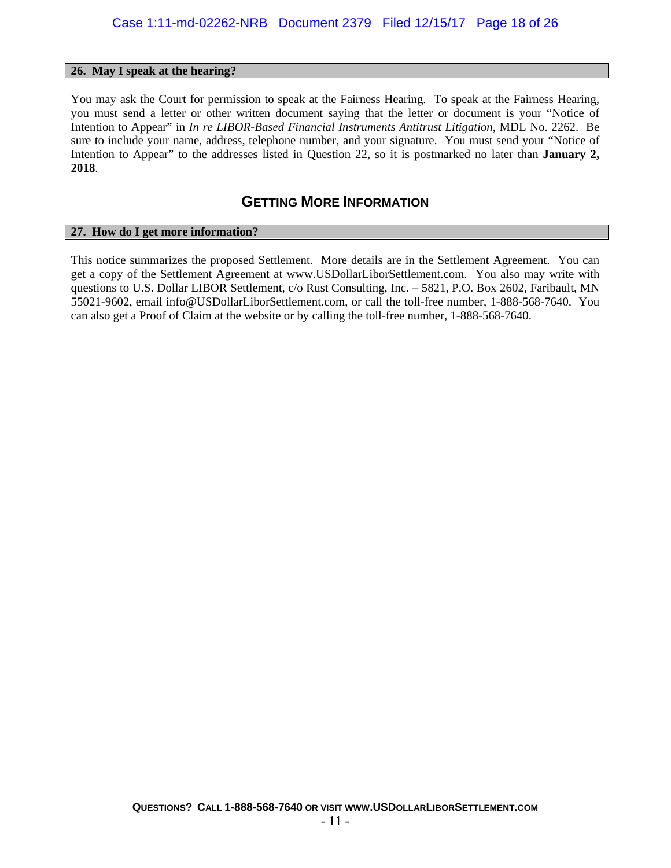#### **26. May I speak at the hearing?**

You may ask the Court for permission to speak at the Fairness Hearing. To speak at the Fairness Hearing, you must send a letter or other written document saying that the letter or document is your "Notice of Intention to Appear" in *In re LIBOR-Based Financial Instruments Antitrust Litigation*, MDL No. 2262. Be sure to include your name, address, telephone number, and your signature. You must send your "Notice of Intention to Appear" to the addresses listed in Question 22, so it is postmarked no later than **January 2, 2018**.

### **GETTING MORE INFORMATION**

#### **27. How do I get more information?**

This notice summarizes the proposed Settlement. More details are in the Settlement Agreement. You can get a copy of the Settlement Agreement at www.USDollarLiborSettlement.com. You also may write with questions to U.S. Dollar LIBOR Settlement, c/o Rust Consulting, Inc. – 5821, P.O. Box 2602, Faribault, MN 55021-9602, email info@USDollarLiborSettlement.com, or call the toll-free number, 1-888-568-7640. You can also get a Proof of Claim at the website or by calling the toll-free number, 1-888-568-7640.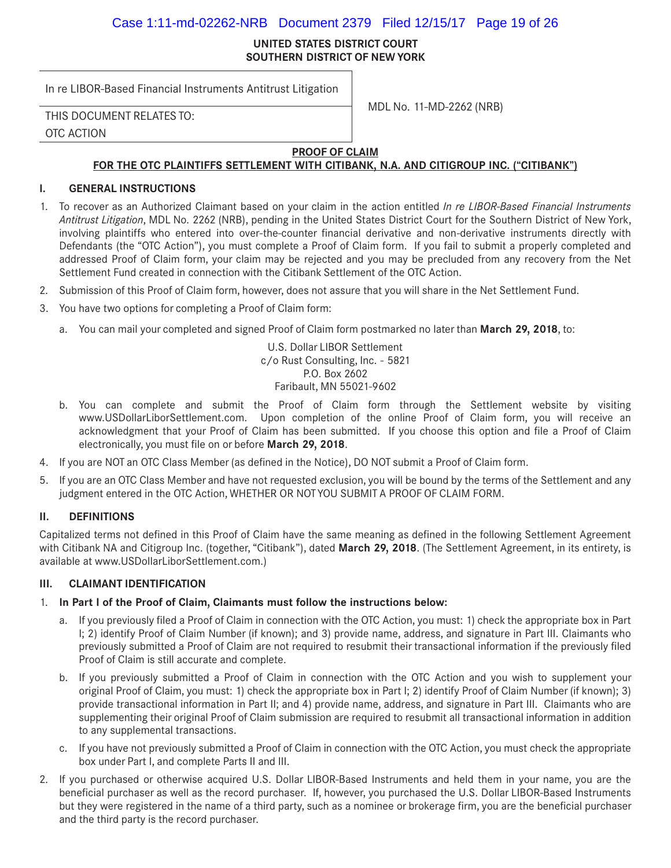### Case 1:11-md-02262-NRB Document 2379 Filed 12/15/17 Page 19 of 26

#### **UNITED STATES DISTRICT COURT SOUTHERN DISTRICT OF NEW YORK**

In re LIBOR-Based Financial Instruments Antitrust Litigation

MDL No. 11-MD-2262 (NRB) THIS DOCUMENT RELATES TO:

OTC ACTION

### **PROOF OF CLAIM**

### **FOR THE OTC PLAINTIFFS SETTLEMENT WITH CITIBANK, N.A. AND CITIGROUP INC. ("CITIBANK")**

### **I. GENERAL INSTRUCTIONS**

- 1. To recover as an Authorized Claimant based on your claim in the action entitled *In re LIBOR-Based Financial Instruments Antitrust Litigation*, MDL No. 2262 (NRB), pending in the United States District Court for the Southern District of New York, involving plaintiffs who entered into over-the-counter financial derivative and non-derivative instruments directly with Defendants (the "OTC Action"), you must complete a Proof of Claim form. If you fail to submit a properly completed and addressed Proof of Claim form, your claim may be rejected and you may be precluded from any recovery from the Net Settlement Fund created in connection with the Citibank Settlement of the OTC Action.
- 2. Submission of this Proof of Claim form, however, does not assure that you will share in the Net Settlement Fund.
- 3. You have two options for completing a Proof of Claim form:
	- a. You can mail your completed and signed Proof of Claim form postmarked no later than **March 29, 2018**, to:

U.S. Dollar LIBOR Settlement c/o Rust Consulting, Inc. - 5821 P.O. Box 2602 Faribault, MN 55021-9602

- b. You can complete and submit the Proof of Claim form through the Settlement website by visiting www.USDollarLiborSettlement.com. Upon completion of the online Proof of Claim form, you will receive an acknowledgment that your Proof of Claim has been submitted. If you choose this option and file a Proof of Claim electronically, you must file on or before **March 29, 2018**.
- 4. If you are NOT an OTC Class Member (as defined in the Notice), DO NOT submit a Proof of Claim form.
- 5. If you are an OTC Class Member and have not requested exclusion, you will be bound by the terms of the Settlement and any judgment entered in the OTC Action, WHETHER OR NOT YOU SUBMIT A PROOF OF CLAIM FORM.

### **II. DEFINITIONS**

Capitalized terms not defined in this Proof of Claim have the same meaning as defined in the following Settlement Agreement with Citibank NA and Citigroup Inc. (together, "Citibank"), dated **March 29, 2018**. (The Settlement Agreement, in its entirety, is available at www.USDollarLiborSettlement.com.)

### **III. CLAIMANT IDENTIFICATION**

### 1. **In Part I of the Proof of Claim, Claimants must follow the instructions below:**

- a. If you previously filed a Proof of Claim in connection with the OTC Action, you must: 1) check the appropriate box in Part I; 2) identify Proof of Claim Number (if known); and 3) provide name, address, and signature in Part III. Claimants who previously submitted a Proof of Claim are not required to resubmit their transactional information if the previously filed Proof of Claim is still accurate and complete.
- b. If you previously submitted a Proof of Claim in connection with the OTC Action and you wish to supplement your original Proof of Claim, you must: 1) check the appropriate box in Part I; 2) identify Proof of Claim Number (if known); 3) provide transactional information in Part II; and 4) provide name, address, and signature in Part III. Claimants who are supplementing their original Proof of Claim submission are required to resubmit all transactional information in addition to any supplemental transactions.
- c. If you have not previously submitted a Proof of Claim in connection with the OTC Action, you must check the appropriate box under Part I, and complete Parts II and III.
- 2. If you purchased or otherwise acquired U.S. Dollar LIBOR-Based Instruments and held them in your name, you are the beneficial purchaser as well as the record purchaser. If, however, you purchased the U.S. Dollar LIBOR-Based Instruments but they were registered in the name of a third party, such as a nominee or brokerage firm, you are the beneficial purchaser and the third party is the record purchaser.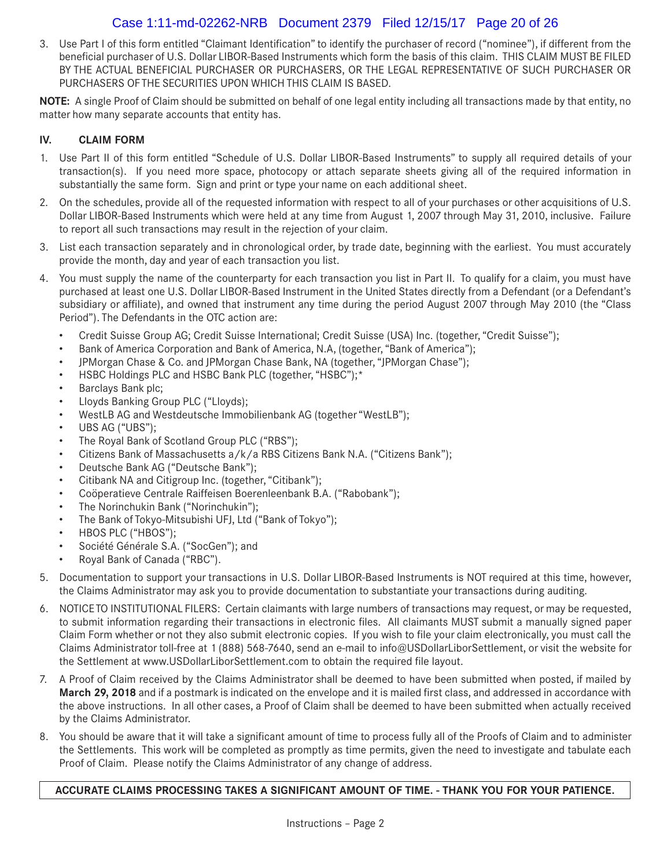### Case 1:11-md-02262-NRB Document 2379 Filed 12/15/17 Page 20 of 26

3. Use Part I of this form entitled "Claimant Identification" to identify the purchaser of record ("nominee"), if different from the beneficial purchaser of U.S. Dollar LIBOR-Based Instruments which form the basis of this claim. THIS CLAIM MUST BE FILED BY THE ACTUAL BENEFICIAL PURCHASER OR PURCHASERS, OR THE LEGAL REPRESENTATIVE OF SUCH PURCHASER OR PURCHASERS OF THE SECURITIES UPON WHICH THIS CLAIM IS BASED.

**NOTE:** A single Proof of Claim should be submitted on behalf of one legal entity including all transactions made by that entity, no matter how many separate accounts that entity has.

### **IV. CLAIM FORM**

- 1. Use Part II of this form entitled "Schedule of U.S. Dollar LIBOR-Based Instruments" to supply all required details of your transaction(s). If you need more space, photocopy or attach separate sheets giving all of the required information in substantially the same form. Sign and print or type your name on each additional sheet.
- 2. On the schedules, provide all of the requested information with respect to all of your purchases or other acquisitions of U.S. Dollar LIBOR-Based Instruments which were held at any time from August 1, 2007 through May 31, 2010, inclusive. Failure to report all such transactions may result in the rejection of your claim.
- 3. List each transaction separately and in chronological order, by trade date, beginning with the earliest. You must accurately provide the month, day and year of each transaction you list.
- 4. You must supply the name of the counterparty for each transaction you list in Part II. To qualify for a claim, you must have purchased at least one U.S. Dollar LIBOR-Based Instrument in the United States directly from a Defendant (or a Defendant's subsidiary or affiliate), and owned that instrument any time during the period August 2007 through May 2010 (the "Class Period"). The Defendants in the OTC action are:
	- Credit Suisse Group AG; Credit Suisse International; Credit Suisse (USA) Inc. (together, "Credit Suisse");
	- Bank of America Corporation and Bank of America, N.A, (together, "Bank of America");
	- JPMorgan Chase & Co. and JPMorgan Chase Bank, NA (together, "JPMorgan Chase");
	- HSBC Holdings PLC and HSBC Bank PLC (together, "HSBC");\*
	- Barclays Bank plc;
	- Lloyds Banking Group PLC ("Lloyds);
	- WestLB AG and Westdeutsche Immobilienbank AG (together "WestLB");
	- UBS AG ("UBS");
	- The Royal Bank of Scotland Group PLC ("RBS");
	- Citizens Bank of Massachusetts a/k/a RBS Citizens Bank N.A. ("Citizens Bank");
	- Deutsche Bank AG ("Deutsche Bank");
	- Citibank NA and Citigroup Inc. (together, "Citibank");
	- Coöperatieve Centrale Raiffeisen Boerenleenbank B.A. ("Rabobank");
	- The Norinchukin Bank ("Norinchukin");
	- The Bank of Tokyo-Mitsubishi UFJ, Ltd ("Bank of Tokyo");
	- HBOS PLC ("HBOS");
	- Société Générale S.A. ("SocGen"); and
	- Royal Bank of Canada ("RBC").
- 5. Documentation to support your transactions in U.S. Dollar LIBOR-Based Instruments is NOT required at this time, however, the Claims Administrator may ask you to provide documentation to substantiate your transactions during auditing.
- 6. NOTICE TO INSTITUTIONAL FILERS: Certain claimants with large numbers of transactions may request, or may be requested, to submit information regarding their transactions in electronic files. All claimants MUST submit a manually signed paper Claim Form whether or not they also submit electronic copies. If you wish to file your claim electronically, you must call the Claims Administrator toll-free at 1 (888) 568-7640, send an e-mail to info@USDollarLiborSettlement, or visit the website for the Settlement at www.USDollarLiborSettlement.com to obtain the required file layout.
- 7. A Proof of Claim received by the Claims Administrator shall be deemed to have been submitted when posted, if mailed by **March 29, 2018** and if a postmark is indicated on the envelope and it is mailed first class, and addressed in accordance with the above instructions. In all other cases, a Proof of Claim shall be deemed to have been submitted when actually received by the Claims Administrator.
- 8. You should be aware that it will take a significant amount of time to process fully all of the Proofs of Claim and to administer the Settlements. This work will be completed as promptly as time permits, given the need to investigate and tabulate each Proof of Claim. Please notify the Claims Administrator of any change of address.

### **ACCURATE CLAIMS PROCESSING TAKES A SIGNIFICANT AMOUNT OF TIME. - THANK YOU FOR YOUR PATIENCE.**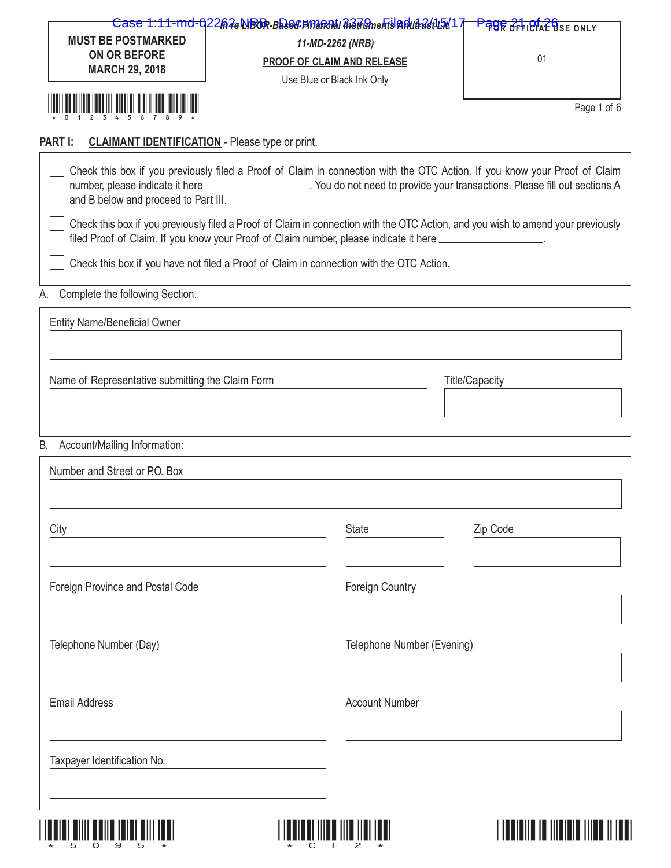| <b>MUST BE POSTMARKED</b><br>ON OR BEFORE<br><b>MARCH 29, 2018</b>       | 11-MD-2262 (NRB)<br>PROOF OF CLAIM AND RELEASE<br>Use Blue or Black Ink Only                                                                                                                                                                                   | <b>PAUR OFFIBIAL USE ONLY</b><br>01 |
|--------------------------------------------------------------------------|----------------------------------------------------------------------------------------------------------------------------------------------------------------------------------------------------------------------------------------------------------------|-------------------------------------|
| <u> III III III III III III III III</u>                                  |                                                                                                                                                                                                                                                                | Page 1 of 6                         |
| <b>CLAIMANT IDENTIFICATION</b> - Please type or print.<br><b>PART I:</b> |                                                                                                                                                                                                                                                                |                                     |
| and B below and proceed to Part III.                                     | Check this box if you previously filed a Proof of Claim in connection with the OTC Action. If you know your Proof of Claim<br>number, please indicate it here ______________________. You do not need to provide your transactions. Please fill out sections A |                                     |
|                                                                          | Check this box if you previously filed a Proof of Claim in connection with the OTC Action, and you wish to amend your previously<br>filed Proof of Claim. If you know your Proof of Claim number, please indicate it here __________________.                  |                                     |
|                                                                          | Check this box if you have not filed a Proof of Claim in connection with the OTC Action.                                                                                                                                                                       |                                     |
| Complete the following Section.<br>А.                                    |                                                                                                                                                                                                                                                                |                                     |
| <b>Entity Name/Beneficial Owner</b>                                      |                                                                                                                                                                                                                                                                |                                     |
| Name of Representative submitting the Claim Form                         |                                                                                                                                                                                                                                                                | <b>Title/Capacity</b>               |
| Account/Mailing Information:<br>В.                                       |                                                                                                                                                                                                                                                                |                                     |
| Number and Street or P.O. Box                                            |                                                                                                                                                                                                                                                                |                                     |
| City                                                                     | State                                                                                                                                                                                                                                                          | Zip Code                            |
| Foreign Province and Postal Code                                         | Foreign Country                                                                                                                                                                                                                                                |                                     |
| Telephone Number (Day)                                                   | Telephone Number (Evening)                                                                                                                                                                                                                                     |                                     |
| <b>Email Address</b>                                                     | <b>Account Number</b>                                                                                                                                                                                                                                          |                                     |
| Taxpayer Identification No.                                              |                                                                                                                                                                                                                                                                |                                     |
|                                                                          |                                                                                                                                                                                                                                                                |                                     |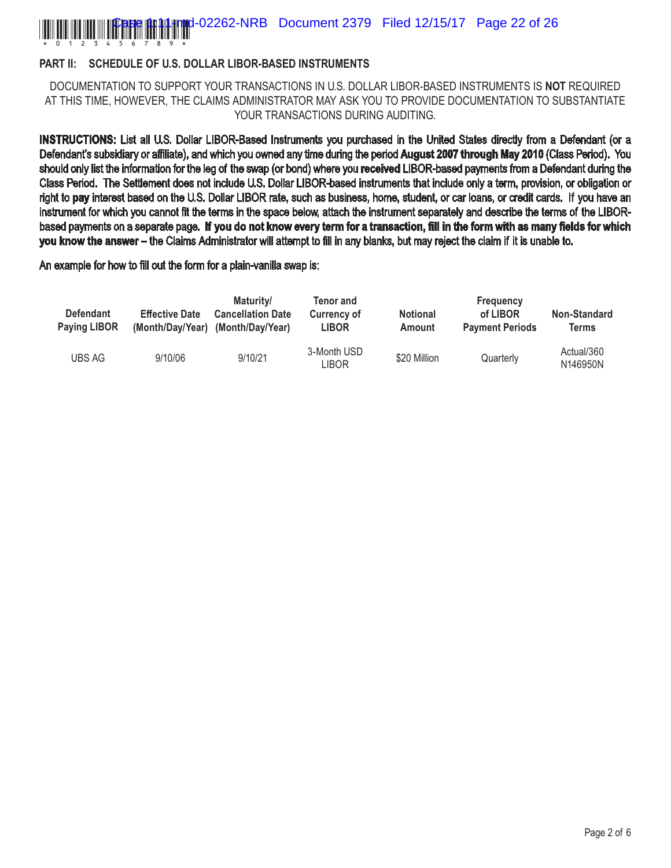### \*0123456789\* **Figure 12262-NRB** Document 2379 Filed 12/15/17 Page 22 of 26

### **PART II: SCHEDULE OF U.S. DOLLAR LIBOR-BASED INSTRUMENTS**

DOCUMENTATION TO SUPPORT YOUR TRANSACTIONS IN U.S. DOLLAR LIBOR-BASED INSTRUMENTS IS **NOT** REQUIRED AT THIS TIME, HOWEVER, THE CLAIMS ADMINISTRATOR MAY ASK YOU TO PROVIDE DOCUMENTATION TO SUBSTANTIATE YOUR TRANSACTIONS DURING AUDITING.

**INSTRUCTIONS:** List all U.S. Dollar LIBOR-Based Instruments you purchased in the United States directly from a Defendant (or a Defendant's subsidiary or affiliate), and which you owned any time during the period **August 2007 through May 2010** (Class Period). You should only list the information for the leg of the swap (or bond) where you **received** LIBOR-based payments from a Defendant during the Class Period. The Settlement does not include U.S. Dollar LIBOR-based instruments that include only a term, provision, or obligation or right to **pay** interest based on the U.S. Dollar LIBOR rate, such as business, home, student, or car loans, or credit cards. If you have an instrument for which you cannot fit the terms in the space below, attach the instrument separately and describe the terms of the LIBORbased payments on a separate page. **If you do not know every term for a transaction, fill in the form with as many fields for which you know the answer –** the Claims Administrator will attempt to fill in any blanks, but may reject the claim if it is unable to.

An example for how to fill out the form for a plain-vanilla swap is:

| <b>Defendant</b><br><b>Paying LIBOR</b> | <b>Effective Date</b> | Maturity/<br><b>Cancellation Date</b><br>(Month/Day/Year) (Month/Day/Year) | Tenor and<br><b>Currency of</b><br><b>LIBOR</b> | <b>Notional</b><br>Amount | <b>Frequency</b><br>of LIBOR<br><b>Payment Periods</b> | <b>Non-Standard</b><br>Terms |
|-----------------------------------------|-----------------------|----------------------------------------------------------------------------|-------------------------------------------------|---------------------------|--------------------------------------------------------|------------------------------|
| <b>UBS AG</b>                           | 9/10/06               | 9/10/21                                                                    | 3-Month USD<br>LIBOR                            | \$20 Million              | Quarterly                                              | Actual/360<br>N146950N       |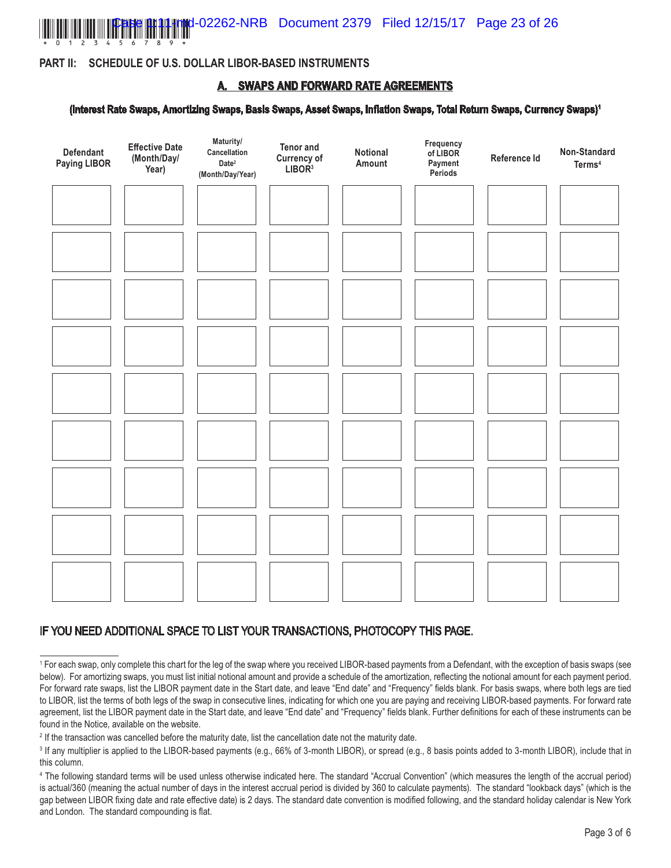

### **PART II: SCHEDULE OF U.S. DOLLAR LIBOR-BASED INSTRUMENTS**

### **A. SWAPS AND FORWARD RATE AGREEMENTS**

#### **(Interest Rate Swaps, Amortizing Swaps, Basis Swaps, Asset Swaps, Inflation Swaps, Total Return Swaps, Currency Swaps)1**



### IF YOU NEED ADDITIONAL SPACE TO LIST YOUR TRANSACTIONS, PHOTOCOPY THIS PAGE.

<sup>1</sup> For each swap, only complete this chart for the leg of the swap where you received LIBOR-based payments from a Defendant, with the exception of basis swaps (see below). For amortizing swaps, you must list initial notional amount and provide a schedule of the amortization, reflecting the notional amount for each payment period. For forward rate swaps, list the LIBOR payment date in the Start date, and leave "End date" and "Frequency" fields blank. For basis swaps, where both legs are tied to LIBOR, list the terms of both legs of the swap in consecutive lines, indicating for which one you are paying and receiving LIBOR-based payments. For forward rate agreement, list the LIBOR payment date in the Start date, and leave "End date" and "Frequency" fields blank. Further definitions for each of these instruments can be found in the Notice, available on the website.

<sup>&</sup>lt;sup>2</sup> If the transaction was cancelled before the maturity date, list the cancellation date not the maturity date.

<sup>&</sup>lt;sup>3</sup> If any multiplier is applied to the LIBOR-based payments (e.g., 66% of 3-month LIBOR), or spread (e.g., 8 basis points added to 3-month LIBOR), include that in this column.

<sup>4</sup> The following standard terms will be used unless otherwise indicated here. The standard "Accrual Convention" (which measures the length of the accrual period) is actual/360 (meaning the actual number of days in the interest accrual period is divided by 360 to calculate payments). The standard "lookback days" (which is the gap between LIBOR fixing date and rate effective date) is 2 days. The standard date convention is modified following, and the standard holiday calendar is New York and London. The standard compounding is flat.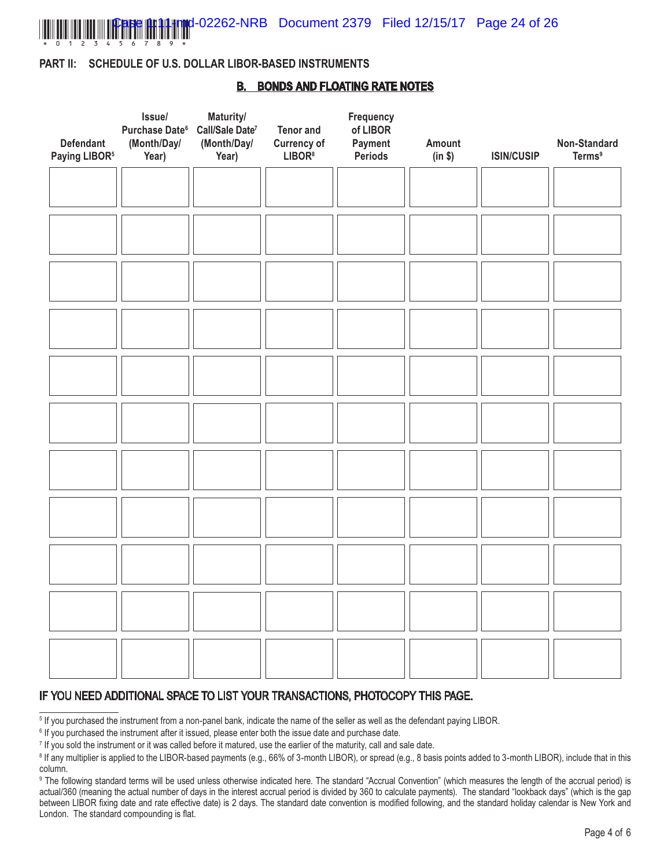

**Innal-02262-NRB** Document 2379 Filed 12/15/17 Page 24 of 26

### **PART II: SCHEDULE OF U.S. DOLLAR LIBOR-BASED INSTRUMENTS**

### **B. BONDS AND FLOATING RATE NOTES**

| <b>Defendant</b><br>Paying LIBOR <sup>5</sup> | Issue/<br>Purchase Date <sup>6</sup><br>(Month/Day/<br>Year) | Maturity/<br>Call/Sale Date <sup>7</sup><br>(Month/Day/<br>Year) | <b>Tenor and</b><br><b>Currency of</b><br>LIBOR <sup>8</sup> | Frequency<br>of LIBOR<br>Payment<br>Periods | Amount<br>(in \$) | <b>ISIN/CUSIP</b> | Non-Standard<br><b>Terms</b> <sup>9</sup> |
|-----------------------------------------------|--------------------------------------------------------------|------------------------------------------------------------------|--------------------------------------------------------------|---------------------------------------------|-------------------|-------------------|-------------------------------------------|
|                                               |                                                              |                                                                  |                                                              |                                             |                   |                   |                                           |
|                                               |                                                              |                                                                  |                                                              |                                             |                   |                   |                                           |
|                                               |                                                              |                                                                  |                                                              |                                             |                   |                   |                                           |
|                                               |                                                              |                                                                  |                                                              |                                             |                   |                   |                                           |
|                                               |                                                              |                                                                  |                                                              |                                             |                   |                   |                                           |
|                                               |                                                              |                                                                  |                                                              |                                             |                   |                   |                                           |
|                                               |                                                              |                                                                  |                                                              |                                             |                   |                   |                                           |
|                                               |                                                              |                                                                  |                                                              |                                             |                   |                   |                                           |
|                                               |                                                              |                                                                  |                                                              |                                             |                   |                   |                                           |
|                                               |                                                              |                                                                  |                                                              |                                             |                   |                   |                                           |
|                                               |                                                              |                                                                  |                                                              |                                             |                   |                   |                                           |

### IF YOU NEED ADDITIONAL SPACE TO LIST YOUR TRANSACTIONS, PHOTOCOPY THIS PAGE.

<sup>5</sup> If you purchased the instrument from a non-panel bank, indicate the name of the seller as well as the defendant paying LIBOR.

<sup>6</sup> If you purchased the instrument after it issued, please enter both the issue date and purchase date.

<sup>7</sup> If you sold the instrument or it was called before it matured, use the earlier of the maturity, call and sale date.

<sup>&</sup>lt;sup>8</sup> If any multiplier is applied to the LIBOR-based payments (e.g., 66% of 3-month LIBOR), or spread (e.g., 8 basis points added to 3-month LIBOR), include that in this column.

<sup>9</sup> The following standard terms will be used unless otherwise indicated here. The standard "Accrual Convention" (which measures the length of the accrual period) is actual/360 (meaning the actual number of days in the interest accrual period is divided by 360 to calculate payments). The standard "lookback days" (which is the gap between LIBOR fixing date and rate effective date) is 2 days. The standard date convention is modified following, and the standard holiday calendar is New York and London. The standard compounding is flat.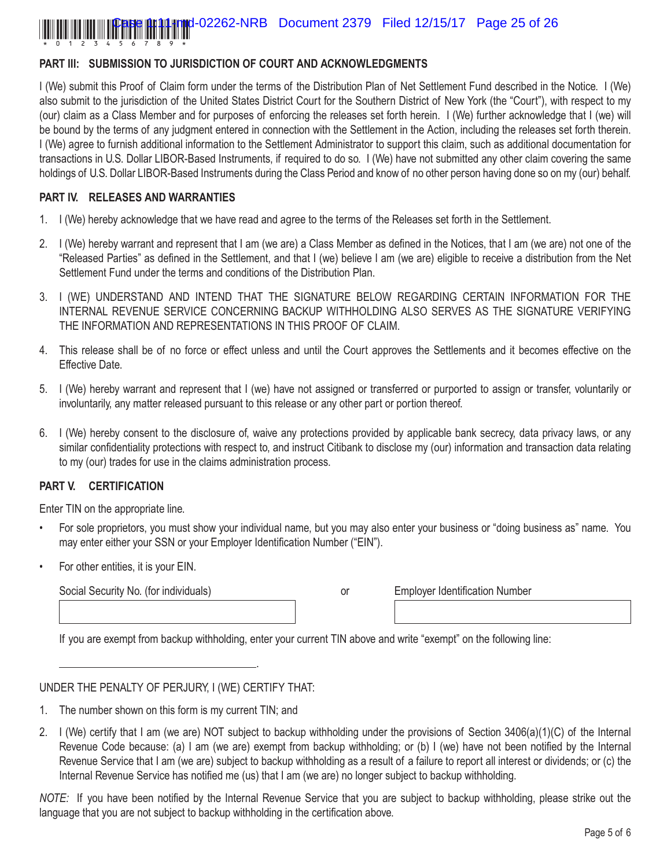### **PART III: SUBMISSION TO JURISDICTION OF COURT AND ACKNOWLEDGMENTS**

I (We) submit this Proof of Claim form under the terms of the Distribution Plan of Net Settlement Fund described in the Notice. I (We) also submit to the jurisdiction of the United States District Court for the Southern District of New York (the "Court"), with respect to my (our) claim as a Class Member and for purposes of enforcing the releases set forth herein. I (We) further acknowledge that I (we) will be bound by the terms of any judgment entered in connection with the Settlement in the Action, including the releases set forth therein. I (We) agree to furnish additional information to the Settlement Administrator to support this claim, such as additional documentation for transactions in U.S. Dollar LIBOR-Based Instruments, if required to do so. I (We) have not submitted any other claim covering the same holdings of U.S. Dollar LIBOR-Based Instruments during the Class Period and know of no other person having done so on my (our) behalf.

### **PART IV. RELEASES AND WARRANTIES**

- 1. I (We) hereby acknowledge that we have read and agree to the terms of the Releases set forth in the Settlement.
- 2. I (We) hereby warrant and represent that I am (we are) a Class Member as defined in the Notices, that I am (we are) not one of the "Released Parties" as defined in the Settlement, and that I (we) believe I am (we are) eligible to receive a distribution from the Net Settlement Fund under the terms and conditions of the Distribution Plan.
- 3. I (WE) UNDERSTAND AND INTEND THAT THE SIGNATURE BELOW REGARDING CERTAIN INFORMATION FOR THE INTERNAL REVENUE SERVICE CONCERNING BACKUP WITHHOLDING ALSO SERVES AS THE SIGNATURE VERIFYING THE INFORMATION AND REPRESENTATIONS IN THIS PROOF OF CLAIM.
- 4. This release shall be of no force or effect unless and until the Court approves the Settlements and it becomes effective on the Effective Date.
- 5. I (We) hereby warrant and represent that I (we) have not assigned or transferred or purported to assign or transfer, voluntarily or involuntarily, any matter released pursuant to this release or any other part or portion thereof.
- 6. I (We) hereby consent to the disclosure of, waive any protections provided by applicable bank secrecy, data privacy laws, or any similar confidentiality protections with respect to, and instruct Citibank to disclose my (our) information and transaction data relating to my (our) trades for use in the claims administration process.

### **PART V. CERTIFICATION**

Enter TIN on the appropriate line.

- For sole proprietors, you must show your individual name, but you may also enter your business or "doing business as" name. You may enter either your SSN or your Employer Identification Number ("EIN").
- For other entities, it is your EIN.

Social Security No. (for individuals) Social Security No. (for individuals) social Security No. (for individuals)

If you are exempt from backup withholding, enter your current TIN above and write "exempt" on the following line:

.

### UNDER THE PENALTY OF PERJURY, I (WE) CERTIFY THAT:

- 1. The number shown on this form is my current TIN; and
- 2. I (We) certify that I am (we are) NOT subject to backup withholding under the provisions of Section 3406(a)(1)(C) of the Internal Revenue Code because: (a) I am (we are) exempt from backup withholding; or (b) I (we) have not been notified by the Internal Revenue Service that I am (we are) subject to backup withholding as a result of a failure to report all interest or dividends; or (c) the Internal Revenue Service has notified me (us) that I am (we are) no longer subject to backup withholding.

*NOTE:* If you have been notified by the Internal Revenue Service that you are subject to backup withholding, please strike out the language that you are not subject to backup withholding in the certification above.